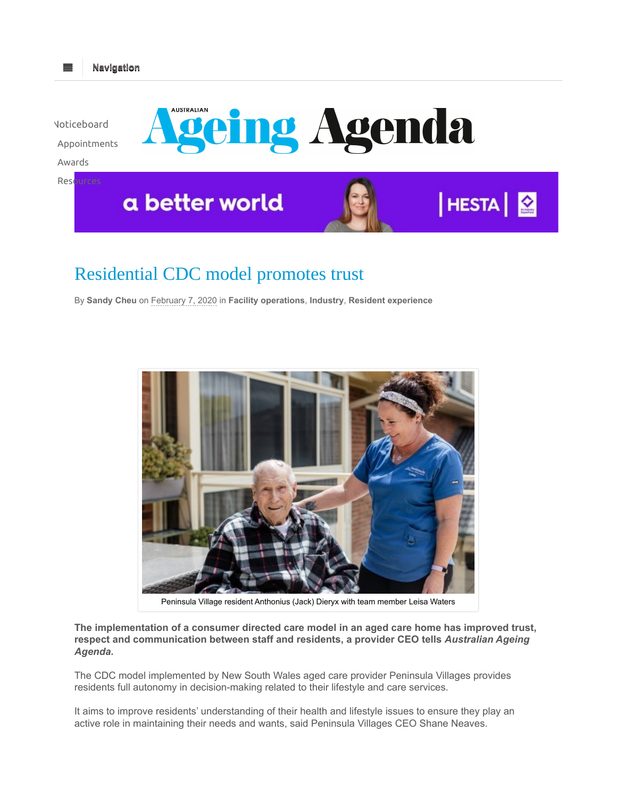

## Residential CDC model promotes trust

Navigation

═

By Sandy Cheu on February 7, 2020 in Facility operations, Industry, Resident experience



Peninsula Village resident Anthonius (Jack) Dieryx with team member Leisa Waters

The implementation of a consumer directed care model in an aged care home has improved trust, respect and communication between staff and residents, a provider CEO tells Australian Ageing Agenda.

The CDC model implemented by New South Wales aged care provider Peninsula Villages provides residents full autonomy in decision-making related to their lifestyle and care services.

It aims to improve residents' understanding of their health and lifestyle issues to ensure they play an active role in maintaining their needs and wants, said Peninsula Villages CEO Shane Neaves.